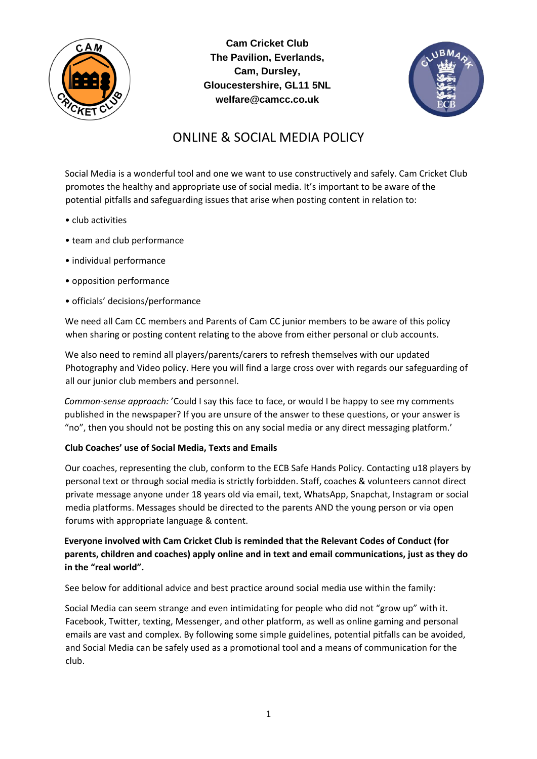

**Cam Cricket Club The Pavilion, Everlands, Cam, Dursley, Gloucestershire, GL11 5NL welfare@camcc.co.uk** 



# ONLINE & SOCIAL MEDIA POLICY

Social Media is a wonderful tool and one we want to use constructively and safely. Cam Cricket Club promotes the healthy and appropriate use of social media. It's important to be aware of the potential pitfalls and safeguarding issues that arise when posting content in relation to:

- club activities
- team and club performance
- individual performance
- opposition performance
- officials' decisions/performance

We need all Cam CC members and Parents of Cam CC junior members to be aware of this policy when sharing or posting content relating to the above from either personal or club accounts.

We also need to remind all players/parents/carers to refresh themselves with our updated Photography and Video policy. Here you will find a large cross over with regards our safeguarding of all our junior club members and personnel.

*Common-sense approach:* 'Could I say this face to face, or would I be happy to see my comments published in the newspaper? If you are unsure of the answer to these questions, or your answer is "no", then you should not be posting this on any social media or any direct messaging platform.'

## **Club Coaches' use of Social Media, Texts and Emails**

Our coaches, representing the club, conform to the ECB Safe Hands Policy. Contacting u18 players by personal text or through social media is strictly forbidden. Staff, coaches & volunteers cannot direct private message anyone under 18 years old via email, text, WhatsApp, Snapchat, Instagram or social media platforms. Messages should be directed to the parents AND the young person or via open forums with appropriate language & content.

# **Everyone involved with Cam Cricket Club is reminded that the Relevant Codes of Conduct (for parents, children and coaches) apply online and in text and email communications, just as they do in the "real world".**

See below for additional advice and best practice around social media use within the family:

Social Media can seem strange and even intimidating for people who did not "grow up" with it. Facebook, Twitter, texting, Messenger, and other platform, as well as online gaming and personal emails are vast and complex. By following some simple guidelines, potential pitfalls can be avoided, and Social Media can be safely used as a promotional tool and a means of communication for the club.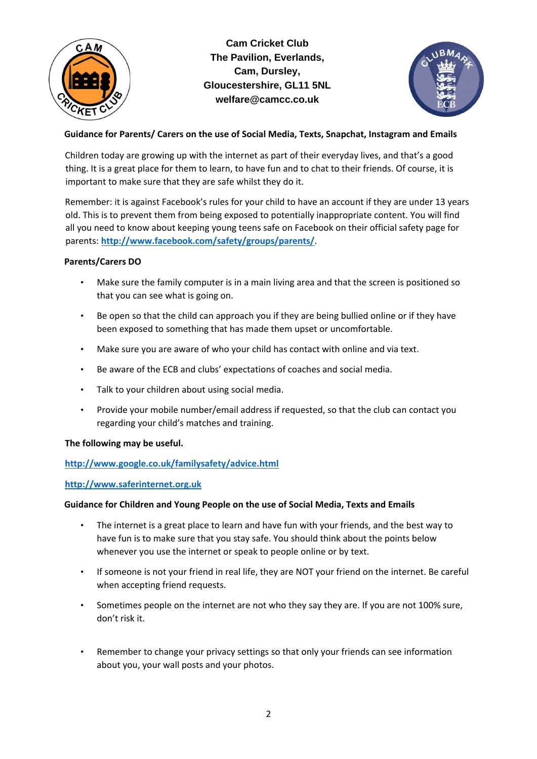

**Cam Cricket Club The Pavilion, Everlands, Cam, Dursley, Gloucestershire, GL11 5NL welfare@camcc.co.uk** 



# **Guidance for Parents/ Carers on the use of Social Media, Texts, Snapchat, Instagram and Emails**

Children today are growing up with the internet as part of their everyday lives, and that's a good thing. It is a great place for them to learn, to have fun and to chat to their friends. Of course, it is important to make sure that they are safe whilst they do it.

Remember: it is against Facebook's rules for your child to have an account if they are under 13 years old. This is to prevent them from being exposed to potentially inappropriate content. You will find all you need to know about keeping young teens safe on Facebook on their official safety page for parents[:](http://www.facebook.com/safety/groups/parents/) **<http://www.facebook.com/safety/groups/parents/>**[.](http://www.facebook.com/safety/groups/parents/)

## **Parents/Carers DO**

- Make sure the family computer is in a main living area and that the screen is positioned so that you can see what is going on.
- Be open so that the child can approach you if they are being bullied online or if they have been exposed to something that has made them upset or uncomfortable.
- Make sure you are aware of who your child has contact with online and via text.
- Be aware of the ECB and clubs' expectations of coaches and social media.
- Talk to your children about using social media.
- Provide your mobile number/email address if requested, so that the club can contact you regarding your child's matches and training.

## **The following may be useful.**

## **<http://www.google.co.uk/familysafety/advice.html>**

## **[http://www.saferinternet.org.uk](http://www.saferinternet.org.uk/)**

## **Guidance for Children and Young People on the use of Social Media, Texts and Emails**

- The internet is a great place to learn and have fun with your friends, and the best way to have fun is to make sure that you stay safe. You should think about the points below whenever you use the internet or speak to people online or by text.
- If someone is not your friend in real life, they are NOT your friend on the internet. Be careful when accepting friend requests.
- Sometimes people on the internet are not who they say they are. If you are not 100% sure, don't risk it.
- Remember to change your privacy settings so that only your friends can see information about you, your wall posts and your photos.